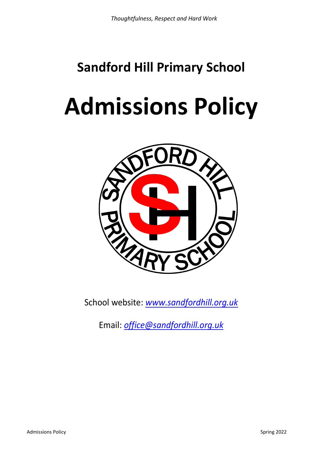# **Sandford Hill Primary School**

# **Admissions Policy**



School website: *[www.sandfordhill.org.uk](http://www.sandfordhill.org.uk/)*

Email: *[office@sandfordhill.org.uk](mailto:office@sandfordhill.org.uk)*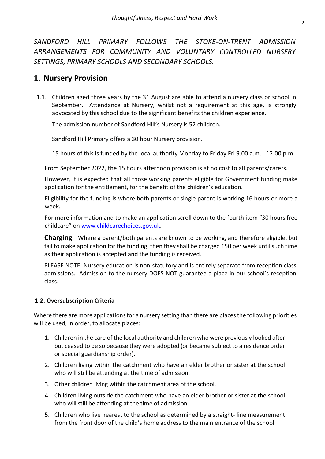*SANDFORD HILL PRIMARY FOLLOWS THE STOKE-ON-TRENT ADMISSION ARRANGEMENTS FOR COMMUNITY AND VOLUNTARY CONTROLLED NURSERY SETTINGS, PRIMARY SCHOOLS AND SECONDARY SCHOOLS.*

## **1. Nursery Provision**

1.1. Children aged three years by the 31 August are able to attend a nursery class or school in September. Attendance at Nursery, whilst not a requirement at this age, is strongly advocated by this school due to the significant benefits the children experience.

The admission number of Sandford Hill's Nursery is 52 children.

Sandford Hill Primary offers a 30 hour Nursery provision.

15 hours of this is funded by the local authority Monday to Friday Fri 9.00 a.m. - 12.00 p.m.

From September 2022, the 15 hours afternoon provision is at no cost to all parents/carers.

However, it is expected that all those working parents eligible for Government funding make application for the entitlement, for the benefit of the children's education.

Eligibility for the funding is where both parents or single parent is working 16 hours or more a week.

For more information and to make an application scroll down to the fourth item "30 hours free childcare" on [www.childcarechoices.gov.uk.](http://www.childcarechoices.gov.uk/)

**Charging** - Where a parent/both parents are known to be working, and therefore eligible, but fail to make application for the funding, then they shall be charged £50 per week until such time as their application is accepted and the funding is received.

PLEASE NOTE: Nursery education is non-statutory and is entirely separate from reception class admissions. Admission to the nursery DOES NOT guarantee a place in our school's reception class.

#### **1.2. Oversubscription Criteria**

Where there are more applications for a nursery setting than there are places the following priorities will be used, in order, to allocate places:

- 1. Children in the care of the local authority and children who were previously looked after but ceased to be so because they were adopted (or became subject to a residence order or special guardianship order).
- 2. Children living within the catchment who have an elder brother or sister at the school who will still be attending at the time of admission.
- 3. Other children living within the catchment area of the school.
- 4. Children living outside the catchment who have an elder brother or sister at the school who will still be attending at the time of admission.
- 5. Children who live nearest to the school as determined by a straight- line measurement from the front door of the child's home address to the main entrance of the school.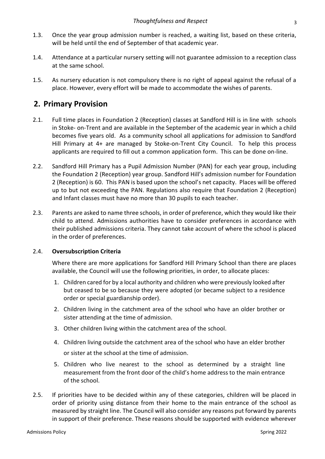- 1.3. Once the year group admission number is reached, a waiting list, based on these criteria, will be held until the end of September of that academic year.
- 1.4. Attendance at a particular nursery setting will not guarantee admission to a reception class at the same school.
- 1.5. As nursery education is not compulsory there is no right of appeal against the refusal of a place. However, every effort will be made to accommodate the wishes of parents.

# **2. Primary Provision**

- 2.1. Full time places in Foundation 2 (Reception) classes at Sandford Hill is in line with schools in Stoke- on-Trent and are available in the September of the academic year in which a child becomes five years old. As a community school all applications for admission to Sandford Hill Primary at 4+ are managed by Stoke-on-Trent City Council. To help this process applicants are required to fill out a common application form. This can be done on-line.
- 2.2. Sandford Hill Primary has a Pupil Admission Number (PAN) for each year group, including the Foundation 2 (Reception) year group. Sandford Hill's admission number for Foundation 2 (Reception) is 60. This PAN is based upon the school's net capacity. Places will be offered up to but not exceeding the PAN. Regulations also require that Foundation 2 (Reception) and Infant classes must have no more than 30 pupils to each teacher.
- 2.3. Parents are asked to name three schools, in order of preference, which they would like their child to attend. Admissions authorities have to consider preferences in accordance with their published admissions criteria. They cannot take account of where the school is placed in the order of preferences.

#### 2.4. **Oversubscription Criteria**

Where there are more applications for Sandford Hill Primary School than there are places available, the Council will use the following priorities, in order, to allocate places:

- 1. Children cared for by a local authority and children who were previously looked after but ceased to be so because they were adopted (or became subject to a residence order or special guardianship order).
- 2. Children living in the catchment area of the school who have an older brother or sister attending at the time of admission.
- 3. Other children living within the catchment area of the school.
- 4. Children living outside the catchment area of the school who have an elder brother or sister at the school at the time of admission.
- 5. Children who live nearest to the school as determined by a straight line measurement from the front door of the child's home address to the main entrance of the school.
- 2.5. If priorities have to be decided within any of these categories, children will be placed in order of priority using distance from their home to the main entrance of the school as measured by straight line. The Council will also consider any reasons put forward by parents in support of their preference. These reasons should be supported with evidence wherever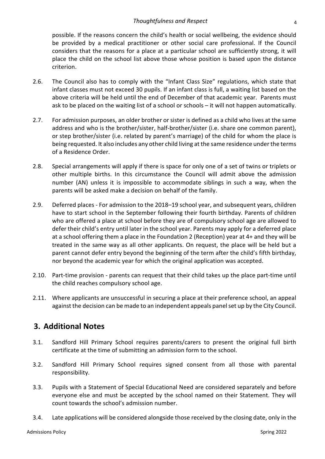possible. If the reasons concern the child's health or social wellbeing, the evidence should be provided by a medical practitioner or other social care professional. If the Council considers that the reasons for a place at a particular school are sufficiently strong, it will place the child on the school list above those whose position is based upon the distance criterion.

- 2.6. The Council also has to comply with the "Infant Class Size" regulations, which state that infant classes must not exceed 30 pupils. If an infant class is full, a waiting list based on the above criteria will be held until the end of December of that academic year. Parents must ask to be placed on the waiting list of a school or schools – it will not happen automatically.
- 2.7. For admission purposes, an older brother or sister is defined as a child who lives at the same address and who is the brother/sister, half-brother/sister (i.e. share one common parent), or step brother/sister (i.e. related by parent's marriage) of the child for whom the place is being requested. It also includes any other child living at the same residence under the terms of a Residence Order.
- 2.8. Special arrangements will apply if there is space for only one of a set of twins or triplets or other multiple births. In this circumstance the Council will admit above the admission number (AN) unless it is impossible to accommodate siblings in such a way, when the parents will be asked make a decision on behalf of the family.
- 2.9. Deferred places For admission to the 2018–19 school year, and subsequent years, children have to start school in the September following their fourth birthday. Parents of children who are offered a place at school before they are of compulsory school age are allowed to defer their child's entry until later in the school year. Parents may apply for a deferred place at a school offering them a place in the Foundation 2 (Reception) year at 4+ and they will be treated in the same way as all other applicants. On request, the place will be held but a parent cannot defer entry beyond the beginning of the term after the child's fifth birthday, nor beyond the academic year for which the original application was accepted.
- 2.10. Part-time provision parents can request that their child takes up the place part-time until the child reaches compulsory school age.
- 2.11. Where applicants are unsuccessful in securing a place at their preference school, an appeal against the decision can be made to an independent appeals panel set up by the City Council.

### **3. Additional Notes**

- 3.1. Sandford Hill Primary School requires parents/carers to present the original full birth certificate at the time of submitting an admission form to the school.
- 3.2. Sandford Hill Primary School requires signed consent from all those with parental responsibility.
- 3.3. Pupils with a Statement of Special Educational Need are considered separately and before everyone else and must be accepted by the school named on their Statement. They will count towards the school's admission number.
- 3.4. Late applications will be considered alongside those received by the closing date, only in the